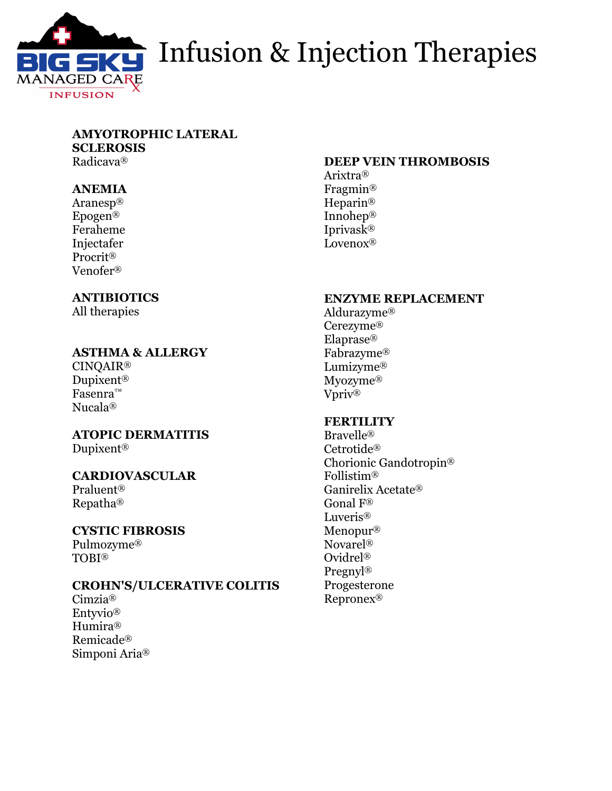

# **G SKY** Infusion & Injection Therapies

#### **AMYOTROPHIC LATERAL SCLEROSIS**

Radicava®

#### **ANEMIA**

Aranesp® Epogen® Feraheme Injectafer Procrit® Venofer®

#### **ANTIBIOTICS**

All therapies

#### **ASTHMA & ALLERGY**

CINQAIR® Dupixent® Fasenra™ Nucala®

### **ATOPIC DERMATITIS**

Dupixent®

#### **CARDIOVASCULAR**

Praluent® Repatha®

#### **CYSTIC FIBROSIS**

Pulmozyme® TOBI®

#### **CROHN'S/ULCERATIVE COLITIS**

Cimzia® Entyvio® Humira® Remicade® Simponi Aria®

#### **DEEP VEIN THROMBOSIS**

Arixtra® Fragmin® Heparin® Innohep® Iprivask® Lovenox®

#### **ENZYME REPLACEMENT**

Aldurazyme® Cerezyme® Elaprase® Fabrazyme® Lumizyme® Myozyme® Vpriv®

#### **FERTILITY**

Bravelle® Cetrotide® Chorionic Gandotropin® Follistim® Ganirelix Acetate® Gonal F® Luveris® Menopur® Novarel® Ovidrel® Pregnyl® Progesterone Repronex®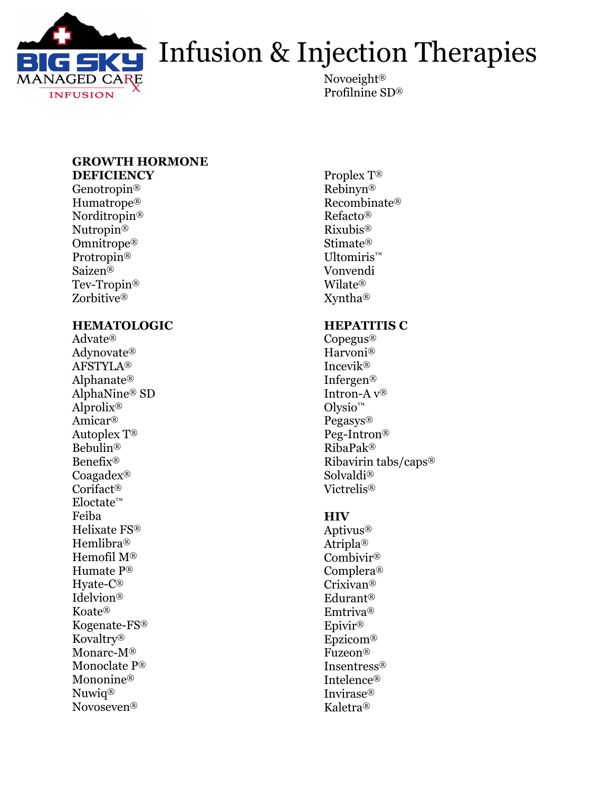

# Infusion & Injection Therapies

Novoeight® Profilnine SD®

#### **GROWTH HORMONE DEFICIENCY**

Genotropin® Humatrope® Norditropin® Nutropin® Omnitrope® Protropin® Saizen® Tev-Tropin® Zorbitive®

#### **HEMATOLOGIC**

Advate® Adynovate® AFSTYLA® Alphanate® AlphaNine® SD Alprolix® Amicar® Autoplex T® Bebulin® Benefix® Coagadex® Corifact® Eloctate™ Feiba Helixate FS® Hemlibra® Hemofil M® Humate P® Hyate-C® Idelvion® Koate® Kogenate-FS® Kovaltry® Monarc-M® Monoclate P® Mononine<sup>®</sup> Nuwiq® Novoseven®

Proplex T® Rebinyn® Recombinate® Refacto® Rixubis® Stimate® Ultomiris™ Vonvendi Wilate® Xyntha®

#### **HEPATITIS C**

Copegus® Harvoni® Incevik® Infergen® Intron-A v® Olysio™ Pegasys® Peg-Intron® RibaPak® Ribavirin tabs/caps® Solvaldi® Victrelis®

#### **HIV**

Aptivus® Atripla® Combivir® Complera® Crixivan® Edurant® Emtriva® Epivir® Epzicom® Fuzeon® Insentress® Intelence® Invirase® Kaletra®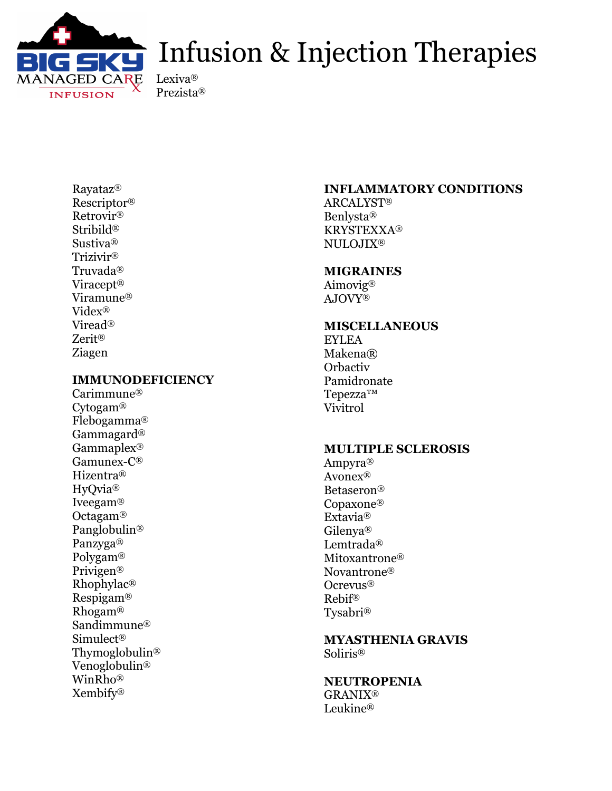

### Infusion & Injection Therapies

Lexiva® Prezista®

Rayataz® Rescriptor® Retrovir® Stribild® Sustiva® Trizivir® Truvada® Viracept® Viramune® Videx® Viread® Zerit® Ziagen

#### **IMMUNODEFICIENCY**

Carimmune® Cytogam® Flebogamma® Gammagard® Gammaplex® Gamunex-C® Hizentra® HyQvia® Iveegam® Octagam® Panglobulin® Panzyga® Polygam® Privigen® Rhophylac® Respigam® Rhogam® Sandimmune® Simulect® Thymoglobulin® Venoglobulin® WinRho® Xembify®

#### **INFLAMMATORY CONDITIONS**

ARCALYST® Benlysta® KRYSTEXXA® NULOJIX®

#### **MIGRAINES**

Aimovig® AJOVY®

#### **MISCELLANEOUS**

EYLEA Makena® **Orbactiv** Pamidronate Tepezza™ Vivitrol

#### **MULTIPLE SCLEROSIS**

Ampyra® Avonex® Betaseron® Copaxone® Extavia® Gilenya® Lemtrada® Mitoxantrone® Novantrone® Ocrevus® Rebif® Tysabri®

**MYASTHENIA GRAVIS** Soliris®

**NEUTROPENIA** GRANIX® Leukine®